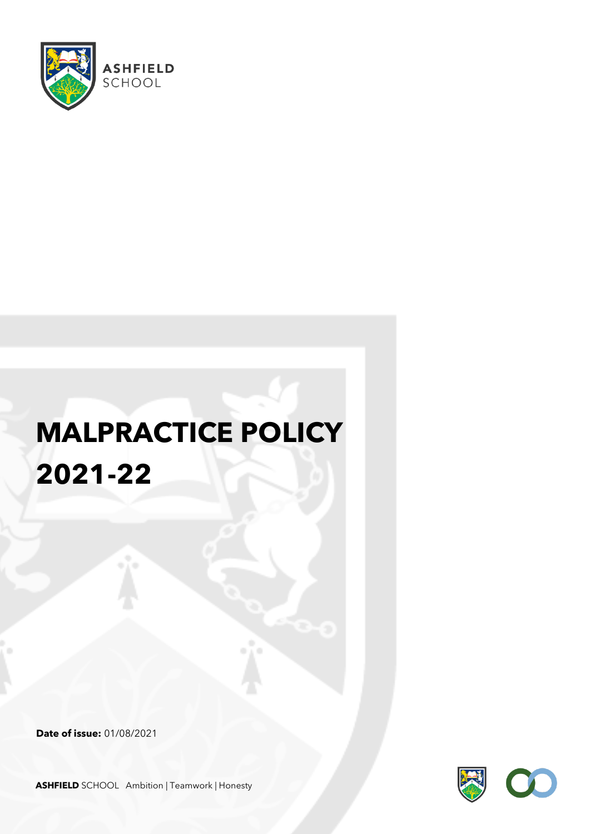

# **MALPRACTICE POLICY 2021-22**

**Date of issue:** 01/08/2021



**ASHFIELD** SCHOOL Ambition | Teamwork | Honesty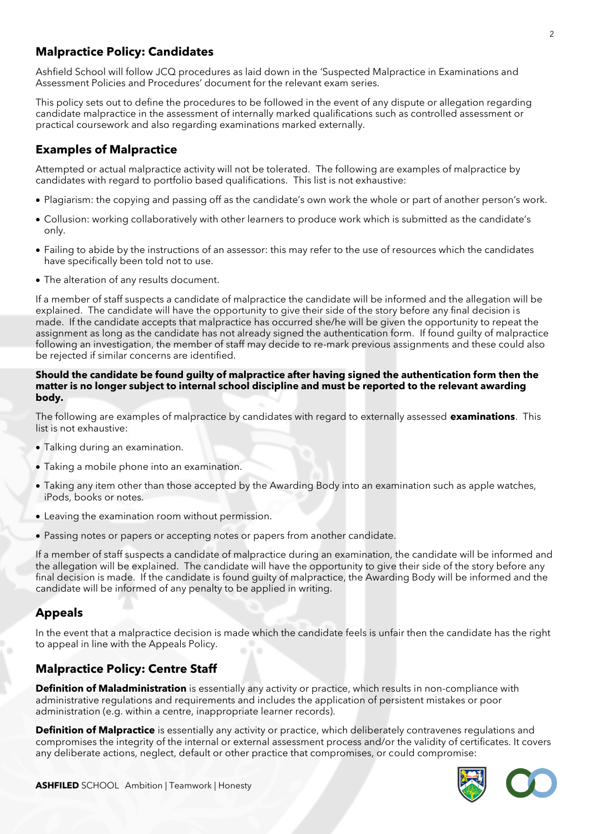### **Malpractice Policy: Candidates**

Ashfield School will follow JCQ procedures as laid down in the 'Suspected Malpractice in Examinations and Assessment Policies and Procedures' document for the relevant exam series.

This policy sets out to define the procedures to be followed in the event of any dispute or allegation regarding candidate malpractice in the assessment of internally marked qualifications such as controlled assessment or practical coursework and also regarding examinations marked externally.

### **Examples of Malpractice**

Attempted or actual malpractice activity will not be tolerated. The following are examples of malpractice by candidates with regard to portfolio based qualifications. This list is not exhaustive:

- Plagiarism: the copying and passing off as the candidate's own work the whole or part of another person's work.
- Collusion: working collaboratively with other learners to produce work which is submitted as the candidate's only.
- Failing to abide by the instructions of an assessor: this may refer to the use of resources which the candidates have specifically been told not to use.
- The alteration of any results document.

If a member of staff suspects a candidate of malpractice the candidate will be informed and the allegation will be explained. The candidate will have the opportunity to give their side of the story before any final decision is made. If the candidate accepts that malpractice has occurred she/he will be given the opportunity to repeat the assignment as long as the candidate has not already signed the authentication form. If found guilty of malpractice following an investigation, the member of staff may decide to re-mark previous assignments and these could also be rejected if similar concerns are identified.

#### **Should the candidate be found guilty of malpractice after having signed the authentication form then the matter is no longer subject to internal school discipline and must be reported to the relevant awarding body.**

The following are examples of malpractice by candidates with regard to externally assessed **examinations**. This list is not exhaustive:

- Talking during an examination.
- Taking a mobile phone into an examination.
- Taking any item other than those accepted by the Awarding Body into an examination such as apple watches, iPods, books or notes.
- Leaving the examination room without permission.
- Passing notes or papers or accepting notes or papers from another candidate.

If a member of staff suspects a candidate of malpractice during an examination, the candidate will be informed and the allegation will be explained. The candidate will have the opportunity to give their side of the story before any final decision is made. If the candidate is found guilty of malpractice, the Awarding Body will be informed and the candidate will be informed of any penalty to be applied in writing.

#### **Appeals**

In the event that a malpractice decision is made which the candidate feels is unfair then the candidate has the right to appeal in line with the Appeals Policy.

#### **Malpractice Policy: Centre Staff**

**Definition of Maladministration** is essentially any activity or practice, which results in non-compliance with administrative regulations and requirements and includes the application of persistent mistakes or poor administration (e.g. within a centre, inappropriate learner records).

**Definition of Malpractice** is essentially any activity or practice, which deliberately contravenes regulations and compromises the integrity of the internal or external assessment process and/or the validity of certificates. It covers any deliberate actions, neglect, default or other practice that compromises, or could compromise: